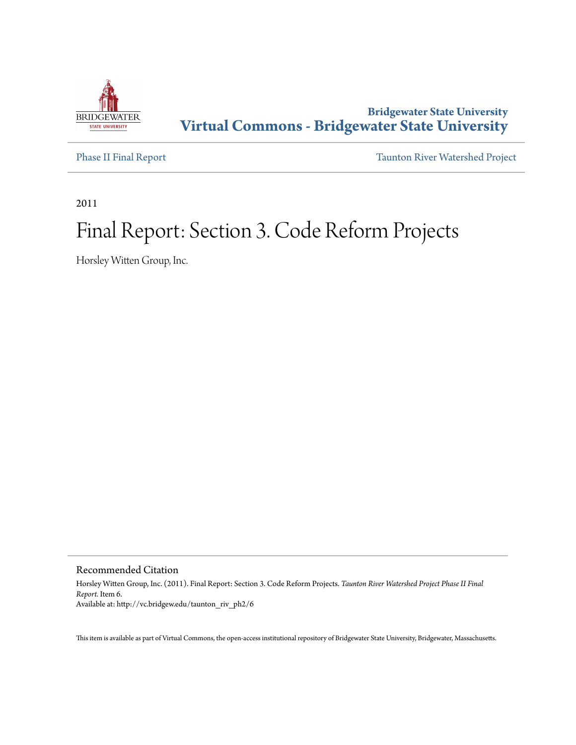

# **Bridgewater State University [Virtual Commons - Bridgewater State University](http://vc.bridgew.edu)**

[Phase II Final Report](http://vc.bridgew.edu/taunton_riv_ph2) [Taunton River Watershed Project](http://vc.bridgew.edu/taunton_riv)

2011

# Final Report: Section 3. Code Reform Projects

Horsley Witten Group, Inc.

Recommended Citation

Horsley Witten Group, Inc. (2011). Final Report: Section 3. Code Reform Projects. *Taunton River Watershed Project Phase II Final Report.* Item 6. Available at: http://vc.bridgew.edu/taunton\_riv\_ph2/6

This item is available as part of Virtual Commons, the open-access institutional repository of Bridgewater State University, Bridgewater, Massachusetts.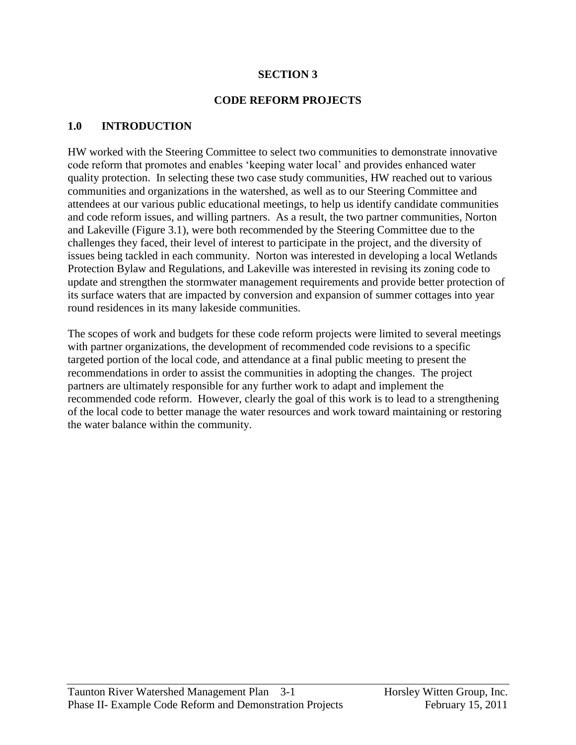#### **SECTION 3**

#### **CODE REFORM PROJECTS**

#### **1.0 INTRODUCTION**

HW worked with the Steering Committee to select two communities to demonstrate innovative code reform that promotes and enables "keeping water local" and provides enhanced water quality protection. In selecting these two case study communities, HW reached out to various communities and organizations in the watershed, as well as to our Steering Committee and attendees at our various public educational meetings, to help us identify candidate communities and code reform issues, and willing partners. As a result, the two partner communities, Norton and Lakeville (Figure 3.1), were both recommended by the Steering Committee due to the challenges they faced, their level of interest to participate in the project, and the diversity of issues being tackled in each community. Norton was interested in developing a local Wetlands Protection Bylaw and Regulations, and Lakeville was interested in revising its zoning code to update and strengthen the stormwater management requirements and provide better protection of its surface waters that are impacted by conversion and expansion of summer cottages into year round residences in its many lakeside communities.

The scopes of work and budgets for these code reform projects were limited to several meetings with partner organizations, the development of recommended code revisions to a specific targeted portion of the local code, and attendance at a final public meeting to present the recommendations in order to assist the communities in adopting the changes. The project partners are ultimately responsible for any further work to adapt and implement the recommended code reform. However, clearly the goal of this work is to lead to a strengthening of the local code to better manage the water resources and work toward maintaining or restoring the water balance within the community.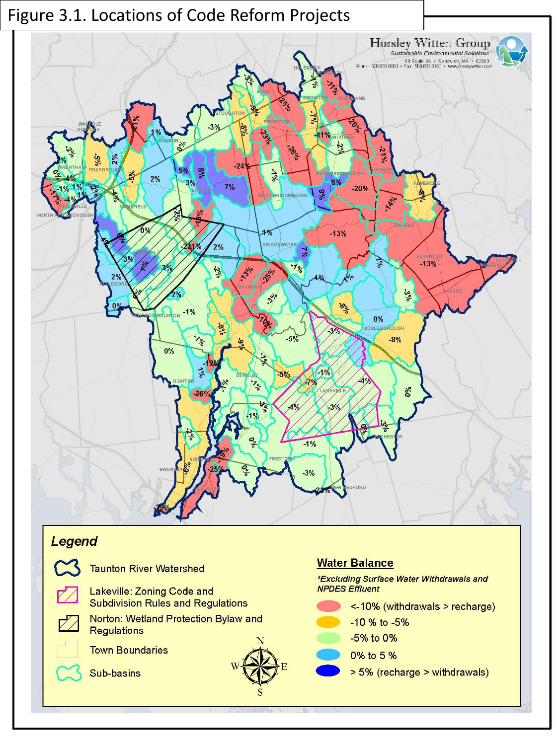

# Legend

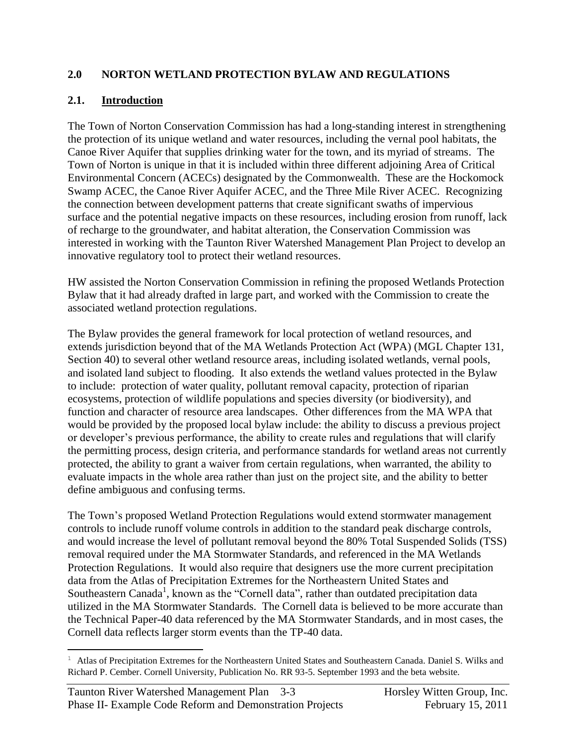## **2.0 NORTON WETLAND PROTECTION BYLAW AND REGULATIONS**

# **2.1. Introduction**

The Town of Norton Conservation Commission has had a long-standing interest in strengthening the protection of its unique wetland and water resources, including the vernal pool habitats, the Canoe River Aquifer that supplies drinking water for the town, and its myriad of streams. The Town of Norton is unique in that it is included within three different adjoining Area of Critical Environmental Concern (ACECs) designated by the Commonwealth. These are the Hockomock Swamp ACEC, the Canoe River Aquifer ACEC, and the Three Mile River ACEC. Recognizing the connection between development patterns that create significant swaths of impervious surface and the potential negative impacts on these resources, including erosion from runoff, lack of recharge to the groundwater, and habitat alteration, the Conservation Commission was interested in working with the Taunton River Watershed Management Plan Project to develop an innovative regulatory tool to protect their wetland resources.

HW assisted the Norton Conservation Commission in refining the proposed Wetlands Protection Bylaw that it had already drafted in large part, and worked with the Commission to create the associated wetland protection regulations.

The Bylaw provides the general framework for local protection of wetland resources, and extends jurisdiction beyond that of the MA Wetlands Protection Act (WPA) (MGL Chapter 131, Section 40) to several other wetland resource areas, including isolated wetlands, vernal pools, and isolated land subject to flooding. It also extends the wetland values protected in the Bylaw to include: protection of water quality, pollutant removal capacity, protection of riparian ecosystems, protection of wildlife populations and species diversity (or biodiversity), and function and character of resource area landscapes. Other differences from the MA WPA that would be provided by the proposed local bylaw include: the ability to discuss a previous project or developer"s previous performance, the ability to create rules and regulations that will clarify the permitting process, design criteria, and performance standards for wetland areas not currently protected, the ability to grant a waiver from certain regulations, when warranted, the ability to evaluate impacts in the whole area rather than just on the project site, and the ability to better define ambiguous and confusing terms.

The Town"s proposed Wetland Protection Regulations would extend stormwater management controls to include runoff volume controls in addition to the standard peak discharge controls, and would increase the level of pollutant removal beyond the 80% Total Suspended Solids (TSS) removal required under the MA Stormwater Standards, and referenced in the MA Wetlands Protection Regulations. It would also require that designers use the more current precipitation data from the Atlas of Precipitation Extremes for the Northeastern United States and Southeastern Canada<sup>1</sup>, known as the "Cornell data", rather than outdated precipitation data utilized in the MA Stormwater Standards. The Cornell data is believed to be more accurate than the Technical Paper-40 data referenced by the MA Stormwater Standards, and in most cases, the Cornell data reflects larger storm events than the TP-40 data.

 $\overline{\phantom{a}}$ 

<sup>&</sup>lt;sup>1</sup> Atlas of Precipitation Extremes for the Northeastern United States and Southeastern Canada. Daniel S. Wilks and Richard P. Cember. Cornell University, Publication No. RR 93-5. September 1993 and the beta website.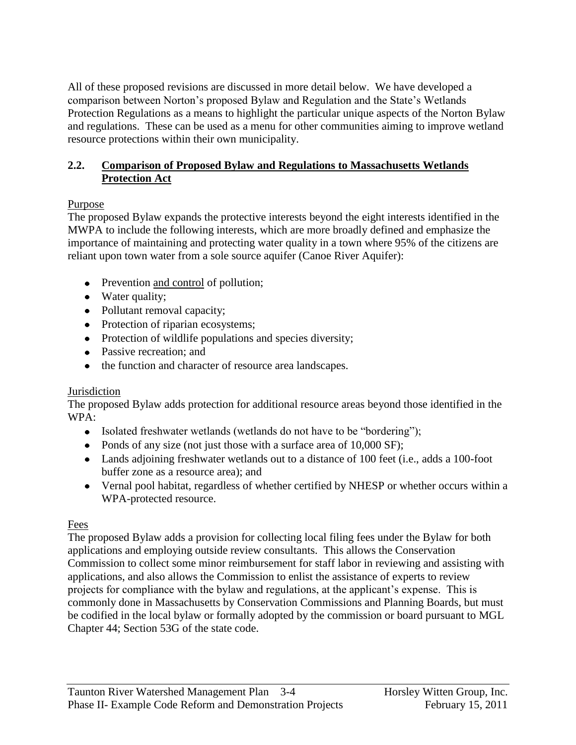All of these proposed revisions are discussed in more detail below. We have developed a comparison between Norton"s proposed Bylaw and Regulation and the State"s Wetlands Protection Regulations as a means to highlight the particular unique aspects of the Norton Bylaw and regulations. These can be used as a menu for other communities aiming to improve wetland resource protections within their own municipality.

#### **2.2. Comparison of Proposed Bylaw and Regulations to Massachusetts Wetlands Protection Act**

# Purpose

The proposed Bylaw expands the protective interests beyond the eight interests identified in the MWPA to include the following interests, which are more broadly defined and emphasize the importance of maintaining and protecting water quality in a town where 95% of the citizens are reliant upon town water from a sole source aquifer (Canoe River Aquifer):

- Prevention and control of pollution;
- Water quality;
- Pollutant removal capacity;
- Protection of riparian ecosystems;
- Protection of wildlife populations and species diversity;
- Passive recreation; and
- the function and character of resource area landscapes.

#### **Jurisdiction**

The proposed Bylaw adds protection for additional resource areas beyond those identified in the WPA:

- Isolated freshwater wetlands (wetlands do not have to be "bordering");
- Ponds of any size (not just those with a surface area of 10,000 SF);
- Lands adjoining freshwater wetlands out to a distance of 100 feet (i.e., adds a 100-foot buffer zone as a resource area); and
- Vernal pool habitat, regardless of whether certified by NHESP or whether occurs within a WPA-protected resource.

# Fees

The proposed Bylaw adds a provision for collecting local filing fees under the Bylaw for both applications and employing outside review consultants. This allows the Conservation Commission to collect some minor reimbursement for staff labor in reviewing and assisting with applications, and also allows the Commission to enlist the assistance of experts to review projects for compliance with the bylaw and regulations, at the applicant"s expense. This is commonly done in Massachusetts by Conservation Commissions and Planning Boards, but must be codified in the local bylaw or formally adopted by the commission or board pursuant to MGL Chapter 44; Section 53G of the state code.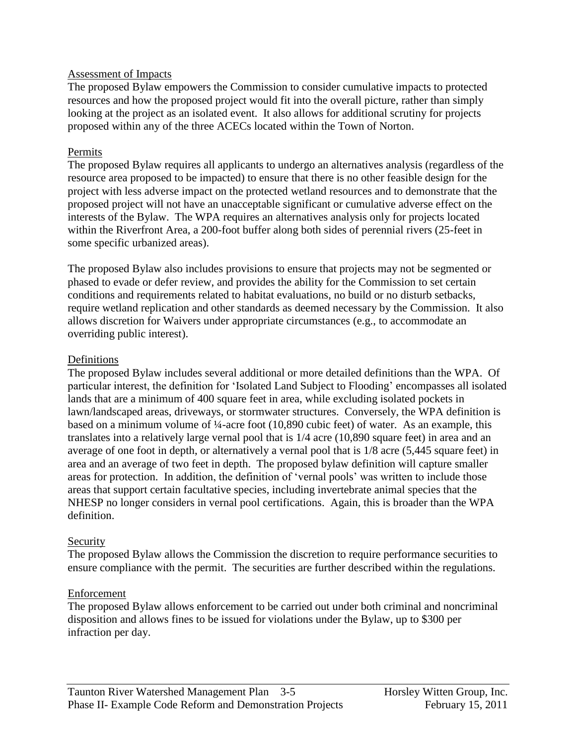#### Assessment of Impacts

The proposed Bylaw empowers the Commission to consider cumulative impacts to protected resources and how the proposed project would fit into the overall picture, rather than simply looking at the project as an isolated event. It also allows for additional scrutiny for projects proposed within any of the three ACECs located within the Town of Norton.

#### Permits

The proposed Bylaw requires all applicants to undergo an alternatives analysis (regardless of the resource area proposed to be impacted) to ensure that there is no other feasible design for the project with less adverse impact on the protected wetland resources and to demonstrate that the proposed project will not have an unacceptable significant or cumulative adverse effect on the interests of the Bylaw. The WPA requires an alternatives analysis only for projects located within the Riverfront Area, a 200-foot buffer along both sides of perennial rivers (25-feet in some specific urbanized areas).

The proposed Bylaw also includes provisions to ensure that projects may not be segmented or phased to evade or defer review, and provides the ability for the Commission to set certain conditions and requirements related to habitat evaluations, no build or no disturb setbacks, require wetland replication and other standards as deemed necessary by the Commission. It also allows discretion for Waivers under appropriate circumstances (e.g., to accommodate an overriding public interest).

#### Definitions

The proposed Bylaw includes several additional or more detailed definitions than the WPA. Of particular interest, the definition for "Isolated Land Subject to Flooding" encompasses all isolated lands that are a minimum of 400 square feet in area, while excluding isolated pockets in lawn/landscaped areas, driveways, or stormwater structures. Conversely, the WPA definition is based on a minimum volume of ¼-acre foot (10,890 cubic feet) of water. As an example, this translates into a relatively large vernal pool that is 1/4 acre (10,890 square feet) in area and an average of one foot in depth, or alternatively a vernal pool that is 1/8 acre (5,445 square feet) in area and an average of two feet in depth. The proposed bylaw definition will capture smaller areas for protection. In addition, the definition of "vernal pools" was written to include those areas that support certain facultative species, including invertebrate animal species that the NHESP no longer considers in vernal pool certifications. Again, this is broader than the WPA definition.

#### **Security**

The proposed Bylaw allows the Commission the discretion to require performance securities to ensure compliance with the permit. The securities are further described within the regulations.

#### Enforcement

The proposed Bylaw allows enforcement to be carried out under both criminal and noncriminal disposition and allows fines to be issued for violations under the Bylaw, up to \$300 per infraction per day.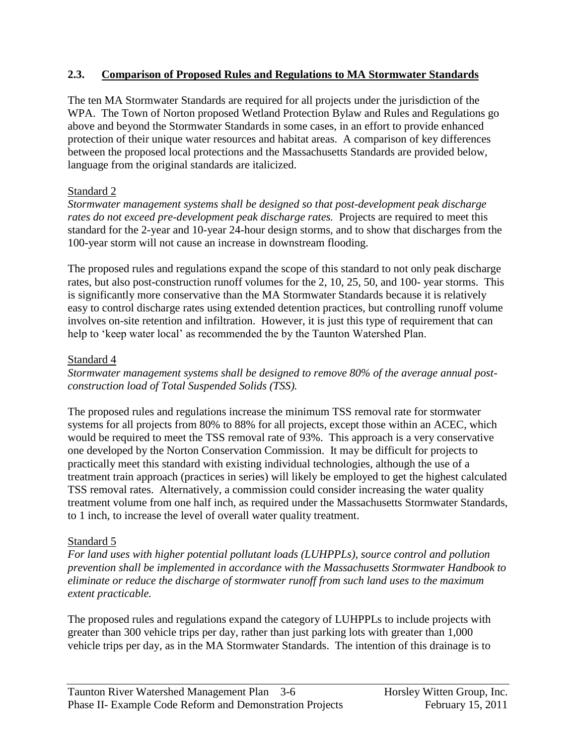#### **2.3. Comparison of Proposed Rules and Regulations to MA Stormwater Standards**

The ten MA Stormwater Standards are required for all projects under the jurisdiction of the WPA. The Town of Norton proposed Wetland Protection Bylaw and Rules and Regulations go above and beyond the Stormwater Standards in some cases, in an effort to provide enhanced protection of their unique water resources and habitat areas. A comparison of key differences between the proposed local protections and the Massachusetts Standards are provided below, language from the original standards are italicized.

# Standard 2

*Stormwater management systems shall be designed so that post-development peak discharge rates do not exceed pre-development peak discharge rates.* Projects are required to meet this standard for the 2-year and 10-year 24-hour design storms, and to show that discharges from the 100-year storm will not cause an increase in downstream flooding.

The proposed rules and regulations expand the scope of this standard to not only peak discharge rates, but also post-construction runoff volumes for the 2, 10, 25, 50, and 100- year storms. This is significantly more conservative than the MA Stormwater Standards because it is relatively easy to control discharge rates using extended detention practices, but controlling runoff volume involves on-site retention and infiltration. However, it is just this type of requirement that can help to 'keep water local' as recommended the by the Taunton Watershed Plan.

# Standard 4

*Stormwater management systems shall be designed to remove 80% of the average annual postconstruction load of Total Suspended Solids (TSS).* 

The proposed rules and regulations increase the minimum TSS removal rate for stormwater systems for all projects from 80% to 88% for all projects, except those within an ACEC, which would be required to meet the TSS removal rate of 93%. This approach is a very conservative one developed by the Norton Conservation Commission. It may be difficult for projects to practically meet this standard with existing individual technologies, although the use of a treatment train approach (practices in series) will likely be employed to get the highest calculated TSS removal rates. Alternatively, a commission could consider increasing the water quality treatment volume from one half inch, as required under the Massachusetts Stormwater Standards, to 1 inch, to increase the level of overall water quality treatment.

# Standard 5

*For land uses with higher potential pollutant loads (LUHPPLs), source control and pollution prevention shall be implemented in accordance with the Massachusetts Stormwater Handbook to eliminate or reduce the discharge of stormwater runoff from such land uses to the maximum extent practicable.* 

The proposed rules and regulations expand the category of LUHPPLs to include projects with greater than 300 vehicle trips per day, rather than just parking lots with greater than 1,000 vehicle trips per day, as in the MA Stormwater Standards. The intention of this drainage is to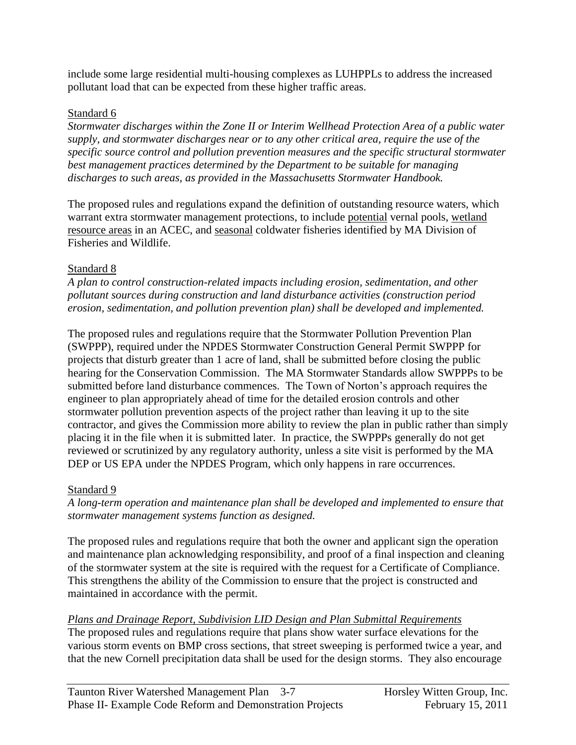include some large residential multi-housing complexes as LUHPPLs to address the increased pollutant load that can be expected from these higher traffic areas.

#### Standard 6

*Stormwater discharges within the Zone II or Interim Wellhead Protection Area of a public water supply, and stormwater discharges near or to any other critical area, require the use of the specific source control and pollution prevention measures and the specific structural stormwater best management practices determined by the Department to be suitable for managing discharges to such areas, as provided in the Massachusetts Stormwater Handbook.* 

The proposed rules and regulations expand the definition of outstanding resource waters, which warrant extra stormwater management protections, to include potential vernal pools, wetland resource areas in an ACEC, and seasonal coldwater fisheries identified by MA Division of Fisheries and Wildlife.

# Standard 8

*A plan to control construction-related impacts including erosion, sedimentation, and other pollutant sources during construction and land disturbance activities (construction period erosion, sedimentation, and pollution prevention plan) shall be developed and implemented.*

The proposed rules and regulations require that the Stormwater Pollution Prevention Plan (SWPPP), required under the NPDES Stormwater Construction General Permit SWPPP for projects that disturb greater than 1 acre of land, shall be submitted before closing the public hearing for the Conservation Commission. The MA Stormwater Standards allow SWPPPs to be submitted before land disturbance commences. The Town of Norton's approach requires the engineer to plan appropriately ahead of time for the detailed erosion controls and other stormwater pollution prevention aspects of the project rather than leaving it up to the site contractor, and gives the Commission more ability to review the plan in public rather than simply placing it in the file when it is submitted later. In practice, the SWPPPs generally do not get reviewed or scrutinized by any regulatory authority, unless a site visit is performed by the MA DEP or US EPA under the NPDES Program, which only happens in rare occurrences.

# Standard 9

*A long-term operation and maintenance plan shall be developed and implemented to ensure that stormwater management systems function as designed.*

The proposed rules and regulations require that both the owner and applicant sign the operation and maintenance plan acknowledging responsibility, and proof of a final inspection and cleaning of the stormwater system at the site is required with the request for a Certificate of Compliance. This strengthens the ability of the Commission to ensure that the project is constructed and maintained in accordance with the permit.

# *Plans and Drainage Report, Subdivision LID Design and Plan Submittal Requirements*

The proposed rules and regulations require that plans show water surface elevations for the various storm events on BMP cross sections, that street sweeping is performed twice a year, and that the new Cornell precipitation data shall be used for the design storms. They also encourage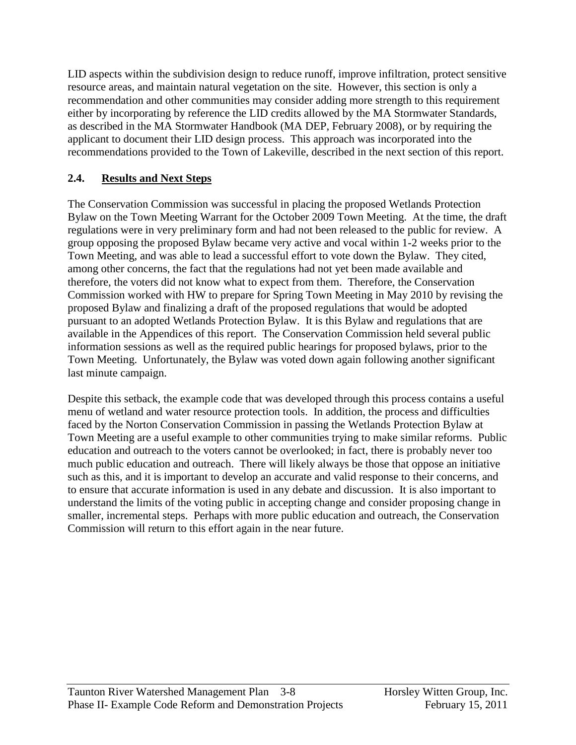LID aspects within the subdivision design to reduce runoff, improve infiltration, protect sensitive resource areas, and maintain natural vegetation on the site. However, this section is only a recommendation and other communities may consider adding more strength to this requirement either by incorporating by reference the LID credits allowed by the MA Stormwater Standards, as described in the MA Stormwater Handbook (MA DEP, February 2008), or by requiring the applicant to document their LID design process. This approach was incorporated into the recommendations provided to the Town of Lakeville, described in the next section of this report.

# **2.4. Results and Next Steps**

The Conservation Commission was successful in placing the proposed Wetlands Protection Bylaw on the Town Meeting Warrant for the October 2009 Town Meeting. At the time, the draft regulations were in very preliminary form and had not been released to the public for review. A group opposing the proposed Bylaw became very active and vocal within 1-2 weeks prior to the Town Meeting, and was able to lead a successful effort to vote down the Bylaw. They cited, among other concerns, the fact that the regulations had not yet been made available and therefore, the voters did not know what to expect from them. Therefore, the Conservation Commission worked with HW to prepare for Spring Town Meeting in May 2010 by revising the proposed Bylaw and finalizing a draft of the proposed regulations that would be adopted pursuant to an adopted Wetlands Protection Bylaw. It is this Bylaw and regulations that are available in the Appendices of this report. The Conservation Commission held several public information sessions as well as the required public hearings for proposed bylaws, prior to the Town Meeting. Unfortunately, the Bylaw was voted down again following another significant last minute campaign.

Despite this setback, the example code that was developed through this process contains a useful menu of wetland and water resource protection tools. In addition, the process and difficulties faced by the Norton Conservation Commission in passing the Wetlands Protection Bylaw at Town Meeting are a useful example to other communities trying to make similar reforms. Public education and outreach to the voters cannot be overlooked; in fact, there is probably never too much public education and outreach. There will likely always be those that oppose an initiative such as this, and it is important to develop an accurate and valid response to their concerns, and to ensure that accurate information is used in any debate and discussion. It is also important to understand the limits of the voting public in accepting change and consider proposing change in smaller, incremental steps. Perhaps with more public education and outreach, the Conservation Commission will return to this effort again in the near future.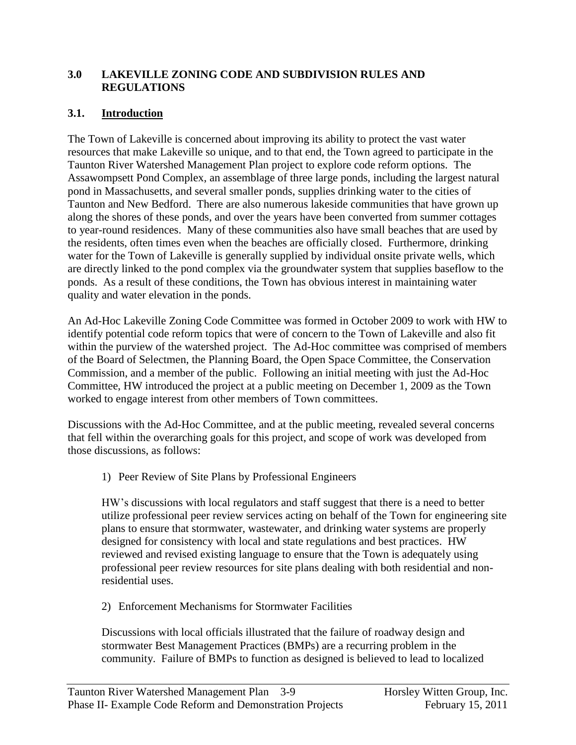#### **3.0 LAKEVILLE ZONING CODE AND SUBDIVISION RULES AND REGULATIONS**

# **3.1. Introduction**

The Town of Lakeville is concerned about improving its ability to protect the vast water resources that make Lakeville so unique, and to that end, the Town agreed to participate in the Taunton River Watershed Management Plan project to explore code reform options. The Assawompsett Pond Complex, an assemblage of three large ponds, including the largest natural pond in Massachusetts, and several smaller ponds, supplies drinking water to the cities of Taunton and New Bedford. There are also numerous lakeside communities that have grown up along the shores of these ponds, and over the years have been converted from summer cottages to year-round residences. Many of these communities also have small beaches that are used by the residents, often times even when the beaches are officially closed. Furthermore, drinking water for the Town of Lakeville is generally supplied by individual onsite private wells, which are directly linked to the pond complex via the groundwater system that supplies baseflow to the ponds. As a result of these conditions, the Town has obvious interest in maintaining water quality and water elevation in the ponds.

An Ad-Hoc Lakeville Zoning Code Committee was formed in October 2009 to work with HW to identify potential code reform topics that were of concern to the Town of Lakeville and also fit within the purview of the watershed project. The Ad-Hoc committee was comprised of members of the Board of Selectmen, the Planning Board, the Open Space Committee, the Conservation Commission, and a member of the public. Following an initial meeting with just the Ad-Hoc Committee, HW introduced the project at a public meeting on December 1, 2009 as the Town worked to engage interest from other members of Town committees.

Discussions with the Ad-Hoc Committee, and at the public meeting, revealed several concerns that fell within the overarching goals for this project, and scope of work was developed from those discussions, as follows:

1) Peer Review of Site Plans by Professional Engineers

HW"s discussions with local regulators and staff suggest that there is a need to better utilize professional peer review services acting on behalf of the Town for engineering site plans to ensure that stormwater, wastewater, and drinking water systems are properly designed for consistency with local and state regulations and best practices. HW reviewed and revised existing language to ensure that the Town is adequately using professional peer review resources for site plans dealing with both residential and nonresidential uses.

2) Enforcement Mechanisms for Stormwater Facilities

Discussions with local officials illustrated that the failure of roadway design and stormwater Best Management Practices (BMPs) are a recurring problem in the community. Failure of BMPs to function as designed is believed to lead to localized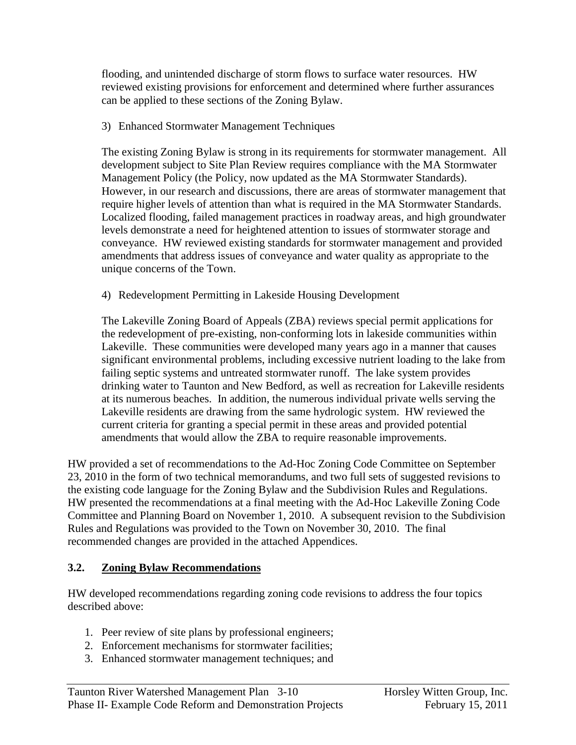flooding, and unintended discharge of storm flows to surface water resources. HW reviewed existing provisions for enforcement and determined where further assurances can be applied to these sections of the Zoning Bylaw.

3) Enhanced Stormwater Management Techniques

The existing Zoning Bylaw is strong in its requirements for stormwater management. All development subject to Site Plan Review requires compliance with the MA Stormwater Management Policy (the Policy, now updated as the MA Stormwater Standards). However, in our research and discussions, there are areas of stormwater management that require higher levels of attention than what is required in the MA Stormwater Standards. Localized flooding, failed management practices in roadway areas, and high groundwater levels demonstrate a need for heightened attention to issues of stormwater storage and conveyance. HW reviewed existing standards for stormwater management and provided amendments that address issues of conveyance and water quality as appropriate to the unique concerns of the Town.

4) Redevelopment Permitting in Lakeside Housing Development

The Lakeville Zoning Board of Appeals (ZBA) reviews special permit applications for the redevelopment of pre-existing, non-conforming lots in lakeside communities within Lakeville. These communities were developed many years ago in a manner that causes significant environmental problems, including excessive nutrient loading to the lake from failing septic systems and untreated stormwater runoff. The lake system provides drinking water to Taunton and New Bedford, as well as recreation for Lakeville residents at its numerous beaches. In addition, the numerous individual private wells serving the Lakeville residents are drawing from the same hydrologic system. HW reviewed the current criteria for granting a special permit in these areas and provided potential amendments that would allow the ZBA to require reasonable improvements.

HW provided a set of recommendations to the Ad-Hoc Zoning Code Committee on September 23, 2010 in the form of two technical memorandums, and two full sets of suggested revisions to the existing code language for the Zoning Bylaw and the Subdivision Rules and Regulations. HW presented the recommendations at a final meeting with the Ad-Hoc Lakeville Zoning Code Committee and Planning Board on November 1, 2010. A subsequent revision to the Subdivision Rules and Regulations was provided to the Town on November 30, 2010. The final recommended changes are provided in the attached Appendices.

# **3.2. Zoning Bylaw Recommendations**

HW developed recommendations regarding zoning code revisions to address the four topics described above:

- 1. Peer review of site plans by professional engineers;
- 2. Enforcement mechanisms for stormwater facilities;
- 3. Enhanced stormwater management techniques; and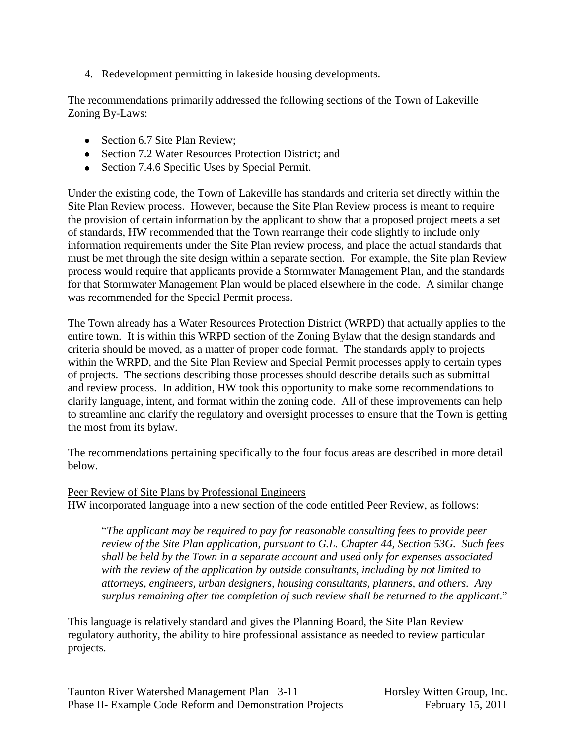4. Redevelopment permitting in lakeside housing developments.

The recommendations primarily addressed the following sections of the Town of Lakeville Zoning By-Laws:

- Section 6.7 Site Plan Review;
- Section 7.2 Water Resources Protection District; and
- Section 7.4.6 Specific Uses by Special Permit.

Under the existing code, the Town of Lakeville has standards and criteria set directly within the Site Plan Review process. However, because the Site Plan Review process is meant to require the provision of certain information by the applicant to show that a proposed project meets a set of standards, HW recommended that the Town rearrange their code slightly to include only information requirements under the Site Plan review process, and place the actual standards that must be met through the site design within a separate section. For example, the Site plan Review process would require that applicants provide a Stormwater Management Plan, and the standards for that Stormwater Management Plan would be placed elsewhere in the code. A similar change was recommended for the Special Permit process.

The Town already has a Water Resources Protection District (WRPD) that actually applies to the entire town. It is within this WRPD section of the Zoning Bylaw that the design standards and criteria should be moved, as a matter of proper code format. The standards apply to projects within the WRPD, and the Site Plan Review and Special Permit processes apply to certain types of projects. The sections describing those processes should describe details such as submittal and review process. In addition, HW took this opportunity to make some recommendations to clarify language, intent, and format within the zoning code. All of these improvements can help to streamline and clarify the regulatory and oversight processes to ensure that the Town is getting the most from its bylaw.

The recommendations pertaining specifically to the four focus areas are described in more detail below.

Peer Review of Site Plans by Professional Engineers HW incorporated language into a new section of the code entitled Peer Review, as follows:

"*The applicant may be required to pay for reasonable consulting fees to provide peer review of the Site Plan application, pursuant to G.L. Chapter 44, Section 53G. Such fees shall be held by the Town in a separate account and used only for expenses associated with the review of the application by outside consultants, including by not limited to attorneys, engineers, urban designers, housing consultants, planners, and others. Any surplus remaining after the completion of such review shall be returned to the applicant*."

This language is relatively standard and gives the Planning Board, the Site Plan Review regulatory authority, the ability to hire professional assistance as needed to review particular projects.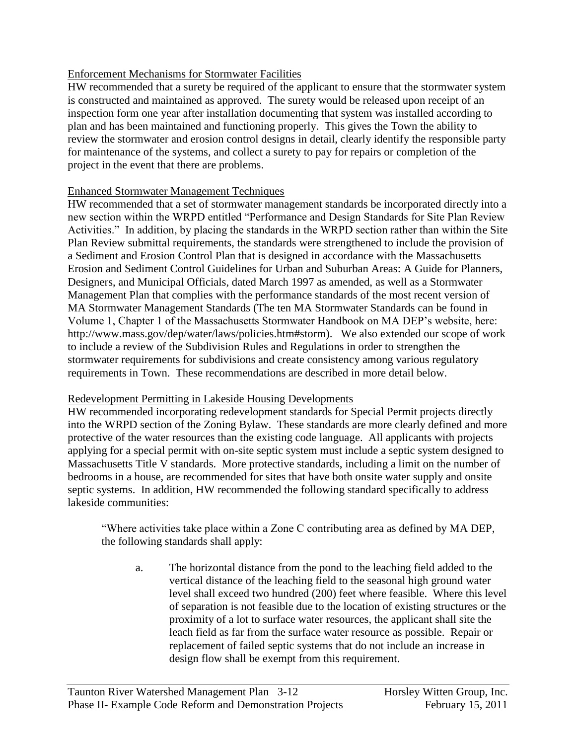#### Enforcement Mechanisms for Stormwater Facilities

HW recommended that a surety be required of the applicant to ensure that the stormwater system is constructed and maintained as approved. The surety would be released upon receipt of an inspection form one year after installation documenting that system was installed according to plan and has been maintained and functioning properly. This gives the Town the ability to review the stormwater and erosion control designs in detail, clearly identify the responsible party for maintenance of the systems, and collect a surety to pay for repairs or completion of the project in the event that there are problems.

#### Enhanced Stormwater Management Techniques

HW recommended that a set of stormwater management standards be incorporated directly into a new section within the WRPD entitled "Performance and Design Standards for Site Plan Review Activities." In addition, by placing the standards in the WRPD section rather than within the Site Plan Review submittal requirements, the standards were strengthened to include the provision of a Sediment and Erosion Control Plan that is designed in accordance with the Massachusetts Erosion and Sediment Control Guidelines for Urban and Suburban Areas: A Guide for Planners, Designers, and Municipal Officials, dated March 1997 as amended, as well as a Stormwater Management Plan that complies with the performance standards of the most recent version of MA Stormwater Management Standards (The ten MA Stormwater Standards can be found in Volume 1, Chapter 1 of the Massachusetts Stormwater Handbook on MA DEP"s website, here: http://www.mass.gov/dep/water/laws/policies.htm#storm). We also extended our scope of work to include a review of the Subdivision Rules and Regulations in order to strengthen the stormwater requirements for subdivisions and create consistency among various regulatory requirements in Town. These recommendations are described in more detail below.

#### Redevelopment Permitting in Lakeside Housing Developments

HW recommended incorporating redevelopment standards for Special Permit projects directly into the WRPD section of the Zoning Bylaw. These standards are more clearly defined and more protective of the water resources than the existing code language. All applicants with projects applying for a special permit with on-site septic system must include a septic system designed to Massachusetts Title V standards. More protective standards, including a limit on the number of bedrooms in a house, are recommended for sites that have both onsite water supply and onsite septic systems. In addition, HW recommended the following standard specifically to address lakeside communities:

"Where activities take place within a Zone C contributing area as defined by MA DEP, the following standards shall apply:

a. The horizontal distance from the pond to the leaching field added to the vertical distance of the leaching field to the seasonal high ground water level shall exceed two hundred (200) feet where feasible. Where this level of separation is not feasible due to the location of existing structures or the proximity of a lot to surface water resources, the applicant shall site the leach field as far from the surface water resource as possible. Repair or replacement of failed septic systems that do not include an increase in design flow shall be exempt from this requirement.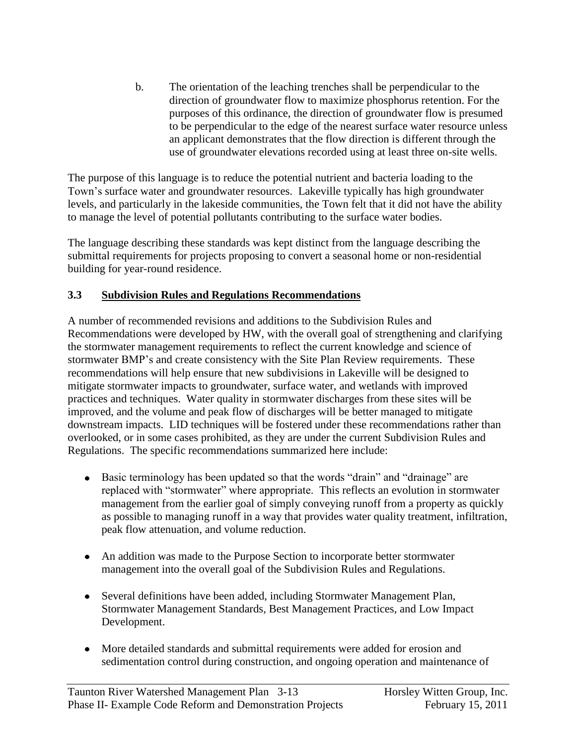b. The orientation of the leaching trenches shall be perpendicular to the direction of groundwater flow to maximize phosphorus retention. For the purposes of this ordinance, the direction of groundwater flow is presumed to be perpendicular to the edge of the nearest surface water resource unless an applicant demonstrates that the flow direction is different through the use of groundwater elevations recorded using at least three on-site wells.

The purpose of this language is to reduce the potential nutrient and bacteria loading to the Town"s surface water and groundwater resources. Lakeville typically has high groundwater levels, and particularly in the lakeside communities, the Town felt that it did not have the ability to manage the level of potential pollutants contributing to the surface water bodies.

The language describing these standards was kept distinct from the language describing the submittal requirements for projects proposing to convert a seasonal home or non-residential building for year-round residence.

# **3.3 Subdivision Rules and Regulations Recommendations**

A number of recommended revisions and additions to the Subdivision Rules and Recommendations were developed by HW, with the overall goal of strengthening and clarifying the stormwater management requirements to reflect the current knowledge and science of stormwater BMP"s and create consistency with the Site Plan Review requirements. These recommendations will help ensure that new subdivisions in Lakeville will be designed to mitigate stormwater impacts to groundwater, surface water, and wetlands with improved practices and techniques. Water quality in stormwater discharges from these sites will be improved, and the volume and peak flow of discharges will be better managed to mitigate downstream impacts. LID techniques will be fostered under these recommendations rather than overlooked, or in some cases prohibited, as they are under the current Subdivision Rules and Regulations. The specific recommendations summarized here include:

- Basic terminology has been updated so that the words "drain" and "drainage" are replaced with "stormwater" where appropriate. This reflects an evolution in stormwater management from the earlier goal of simply conveying runoff from a property as quickly as possible to managing runoff in a way that provides water quality treatment, infiltration, peak flow attenuation, and volume reduction.
- An addition was made to the Purpose Section to incorporate better stormwater management into the overall goal of the Subdivision Rules and Regulations.
- Several definitions have been added, including Stormwater Management Plan, Stormwater Management Standards, Best Management Practices, and Low Impact Development.
- More detailed standards and submittal requirements were added for erosion and sedimentation control during construction, and ongoing operation and maintenance of